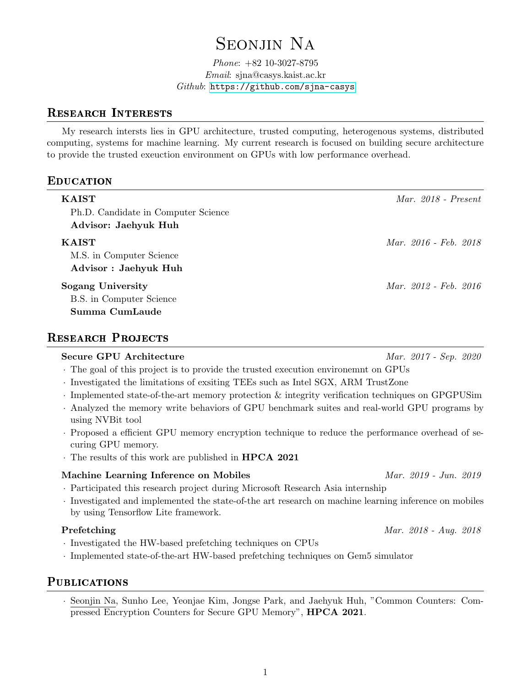# SEONJIN NA

#### Phone: +82 10-3027-8795 Email: sjna@casys.kaist.ac.kr  $Github:$  <https://github.com/sjna-casys>

### Research Interests

My research intersts lies in GPU architecture, trusted computing, heterogenous systems, distributed computing, systems for machine learning. My current research is focused on building secure architecture to provide the trusted exeuction environment on GPUs with low performance overhead.

# **EDUCATION**

| <b>KAIST</b><br>Ph.D. Candidate in Computer Science<br>Advisor: Jaehyuk Huh | Mar. $2018$ - Present |
|-----------------------------------------------------------------------------|-----------------------|
| <b>KAIST</b><br>M.S. in Computer Science<br>Advisor : Jaehyuk Huh           | Mar. 2016 - Feb. 2018 |
| <b>Sogang University</b><br>B.S. in Computer Science<br>Summa CumLaude      | Mar. 2012 - Feb. 2016 |

# RESEARCH PROJECTS

# Secure GPU Architecture Mar. 2017 - Sep. 2020 · The goal of this project is to provide the trusted execution environemnt on GPUs · Investigated the limitations of exsiting TEEs such as Intel SGX, ARM TrustZone · Implemented state-of-the-art memory protection & integrity verification techniques on GPGPUSim · Analyzed the memory write behaviors of GPU benchmark suites and real-world GPU programs by using NVBit tool · Proposed a efficient GPU memory encryption technique to reduce the performance overhead of securing GPU memory. · The results of this work are published in HPCA 2021 Machine Learning Inference on Mobiles Machine Mar. 2019 - Jun. 2019

- · Participated this research project during Microsoft Research Asia internship
- · Investigated and implemented the state-of-the art research on machine learning inference on mobiles by using Tensorflow Lite framework.

#### Prefetching Mar. 2018 - Aug. 2018

- · Investigated the HW-based prefetching techniques on CPUs
- · Implemented state-of-the-art HW-based prefetching techniques on Gem5 simulator

# **PUBLICATIONS**

· Seonjin Na, Sunho Lee, Yeonjae Kim, Jongse Park, and Jaehyuk Huh, "Common Counters: Compressed Encryption Counters for Secure GPU Memory", HPCA 2021.